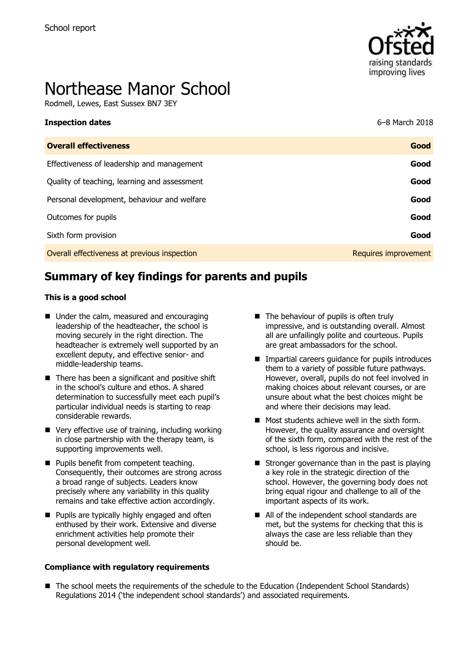

# Northease Manor School

Rodmell, Lewes, East Sussex BN7 3EY

| <b>Inspection dates</b>                      | 6–8 March 2018       |
|----------------------------------------------|----------------------|
| <b>Overall effectiveness</b>                 | Good                 |
| Effectiveness of leadership and management   | Good                 |
| Quality of teaching, learning and assessment | Good                 |
| Personal development, behaviour and welfare  | Good                 |
| Outcomes for pupils                          | Good                 |
| Sixth form provision                         | Good                 |
| Overall effectiveness at previous inspection | Requires improvement |

# **Summary of key findings for parents and pupils**

#### **This is a good school**

- Under the calm, measured and encouraging leadership of the headteacher, the school is moving securely in the right direction. The headteacher is extremely well supported by an excellent deputy, and effective senior- and middle-leadership teams.
- $\blacksquare$  There has been a significant and positive shift in the school's culture and ethos. A shared determination to successfully meet each pupil's particular individual needs is starting to reap considerable rewards.
- Very effective use of training, including working in close partnership with the therapy team, is supporting improvements well.
- **Pupils benefit from competent teaching.** Consequently, their outcomes are strong across a broad range of subjects. Leaders know precisely where any variability in this quality remains and take effective action accordingly.
- **Pupils are typically highly engaged and often** enthused by their work. Extensive and diverse enrichment activities help promote their personal development well.

#### **Compliance with regulatory requirements**

- The behaviour of pupils is often truly impressive, and is outstanding overall. Almost all are unfailingly polite and courteous. Pupils are great ambassadors for the school.
- **IMPARTIAL CALCERS GUIDANCE FOR PUPILS INTO ALCO** them to a variety of possible future pathways. However, overall, pupils do not feel involved in making choices about relevant courses, or are unsure about what the best choices might be and where their decisions may lead.
- **Most students achieve well in the sixth form.** However, the quality assurance and oversight of the sixth form, compared with the rest of the school, is less rigorous and incisive.
- $\blacksquare$  Stronger governance than in the past is playing a key role in the strategic direction of the school. However, the governing body does not bring equal rigour and challenge to all of the important aspects of its work.
- All of the independent school standards are met, but the systems for checking that this is always the case are less reliable than they should be.
- The school meets the requirements of the schedule to the Education (Independent School Standards) Regulations 2014 ('the independent school standards') and associated requirements.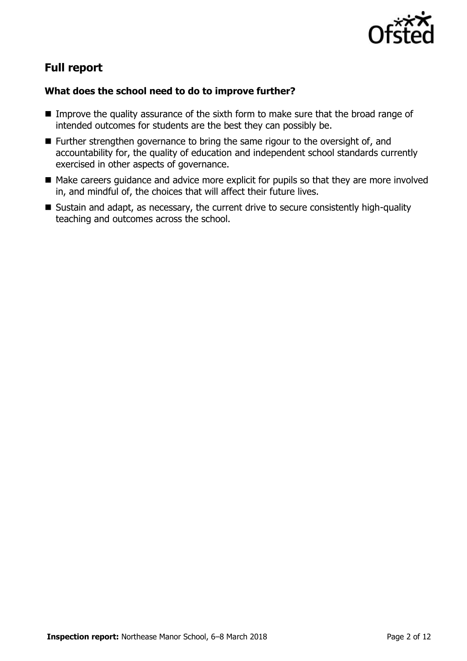

# **Full report**

### **What does the school need to do to improve further?**

- **IMPROVE THE QUALITY ASSURANCE OF the sixth form to make sure that the broad range of** intended outcomes for students are the best they can possibly be.
- $\blacksquare$  Further strengthen governance to bring the same rigour to the oversight of, and accountability for, the quality of education and independent school standards currently exercised in other aspects of governance.
- Make careers guidance and advice more explicit for pupils so that they are more involved in, and mindful of, the choices that will affect their future lives.
- Sustain and adapt, as necessary, the current drive to secure consistently high-quality teaching and outcomes across the school.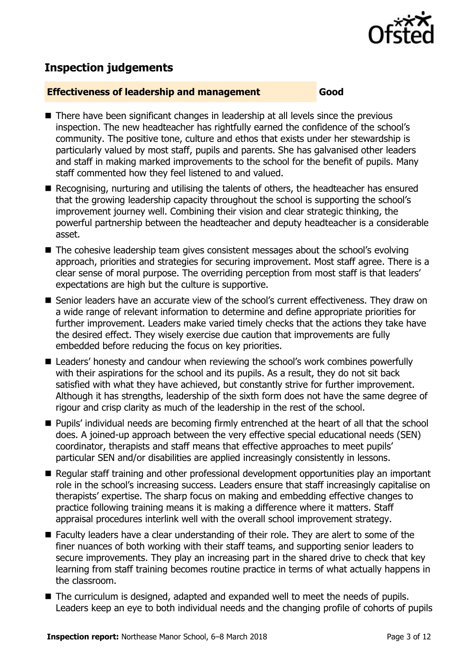

# **Inspection judgements**

#### **Effectiveness of leadership and management Good**

- There have been significant changes in leadership at all levels since the previous inspection. The new headteacher has rightfully earned the confidence of the school's community. The positive tone, culture and ethos that exists under her stewardship is particularly valued by most staff, pupils and parents. She has galvanised other leaders and staff in making marked improvements to the school for the benefit of pupils. Many staff commented how they feel listened to and valued.
- Recognising, nurturing and utilising the talents of others, the headteacher has ensured that the growing leadership capacity throughout the school is supporting the school's improvement journey well. Combining their vision and clear strategic thinking, the powerful partnership between the headteacher and deputy headteacher is a considerable asset.
- The cohesive leadership team gives consistent messages about the school's evolving approach, priorities and strategies for securing improvement. Most staff agree. There is a clear sense of moral purpose. The overriding perception from most staff is that leaders' expectations are high but the culture is supportive.
- Senior leaders have an accurate view of the school's current effectiveness. They draw on a wide range of relevant information to determine and define appropriate priorities for further improvement. Leaders make varied timely checks that the actions they take have the desired effect. They wisely exercise due caution that improvements are fully embedded before reducing the focus on key priorities.
- Leaders' honesty and candour when reviewing the school's work combines powerfully with their aspirations for the school and its pupils. As a result, they do not sit back satisfied with what they have achieved, but constantly strive for further improvement. Although it has strengths, leadership of the sixth form does not have the same degree of rigour and crisp clarity as much of the leadership in the rest of the school.
- **Pupils' individual needs are becoming firmly entrenched at the heart of all that the school** does. A joined-up approach between the very effective special educational needs (SEN) coordinator, therapists and staff means that effective approaches to meet pupils' particular SEN and/or disabilities are applied increasingly consistently in lessons.
- Reqular staff training and other professional development opportunities play an important role in the school's increasing success. Leaders ensure that staff increasingly capitalise on therapists' expertise. The sharp focus on making and embedding effective changes to practice following training means it is making a difference where it matters. Staff appraisal procedures interlink well with the overall school improvement strategy.
- Faculty leaders have a clear understanding of their role. They are alert to some of the finer nuances of both working with their staff teams, and supporting senior leaders to secure improvements. They play an increasing part in the shared drive to check that key learning from staff training becomes routine practice in terms of what actually happens in the classroom.
- The curriculum is designed, adapted and expanded well to meet the needs of pupils. Leaders keep an eye to both individual needs and the changing profile of cohorts of pupils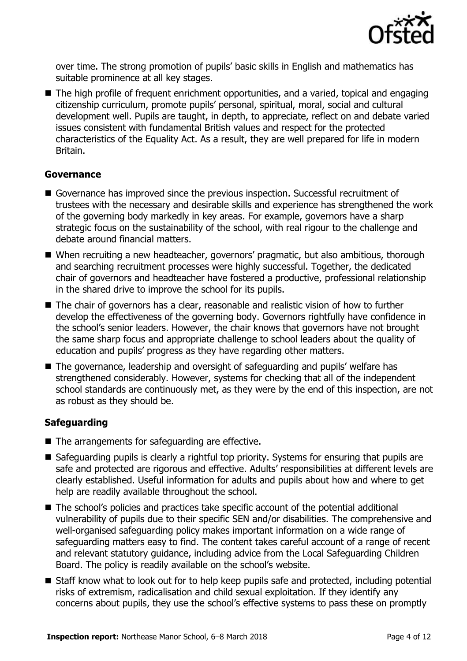

over time. The strong promotion of pupils' basic skills in English and mathematics has suitable prominence at all key stages.

■ The high profile of frequent enrichment opportunities, and a varied, topical and engaging citizenship curriculum, promote pupils' personal, spiritual, moral, social and cultural development well. Pupils are taught, in depth, to appreciate, reflect on and debate varied issues consistent with fundamental British values and respect for the protected characteristics of the Equality Act. As a result, they are well prepared for life in modern Britain.

#### **Governance**

- Governance has improved since the previous inspection. Successful recruitment of trustees with the necessary and desirable skills and experience has strengthened the work of the governing body markedly in key areas. For example, governors have a sharp strategic focus on the sustainability of the school, with real rigour to the challenge and debate around financial matters.
- When recruiting a new headteacher, governors' pragmatic, but also ambitious, thorough and searching recruitment processes were highly successful. Together, the dedicated chair of governors and headteacher have fostered a productive, professional relationship in the shared drive to improve the school for its pupils.
- The chair of governors has a clear, reasonable and realistic vision of how to further develop the effectiveness of the governing body. Governors rightfully have confidence in the school's senior leaders. However, the chair knows that governors have not brought the same sharp focus and appropriate challenge to school leaders about the quality of education and pupils' progress as they have regarding other matters.
- The governance, leadership and oversight of safeguarding and pupils' welfare has strengthened considerably. However, systems for checking that all of the independent school standards are continuously met, as they were by the end of this inspection, are not as robust as they should be.

#### **Safeguarding**

- The arrangements for safeguarding are effective.
- Safeguarding pupils is clearly a rightful top priority. Systems for ensuring that pupils are safe and protected are rigorous and effective. Adults' responsibilities at different levels are clearly established. Useful information for adults and pupils about how and where to get help are readily available throughout the school.
- The school's policies and practices take specific account of the potential additional vulnerability of pupils due to their specific SEN and/or disabilities. The comprehensive and well-organised safeguarding policy makes important information on a wide range of safeguarding matters easy to find. The content takes careful account of a range of recent and relevant statutory guidance, including advice from the Local Safeguarding Children Board. The policy is readily available on the school's website.
- Staff know what to look out for to help keep pupils safe and protected, including potential risks of extremism, radicalisation and child sexual exploitation. If they identify any concerns about pupils, they use the school's effective systems to pass these on promptly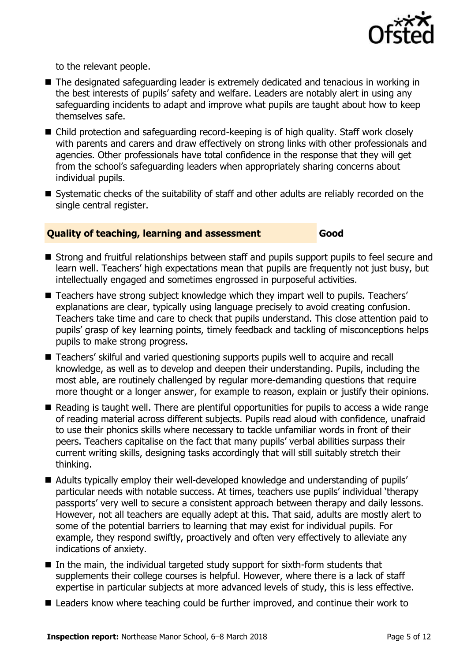

to the relevant people.

- The designated safeguarding leader is extremely dedicated and tenacious in working in the best interests of pupils' safety and welfare. Leaders are notably alert in using any safeguarding incidents to adapt and improve what pupils are taught about how to keep themselves safe.
- Child protection and safeguarding record-keeping is of high quality. Staff work closely with parents and carers and draw effectively on strong links with other professionals and agencies. Other professionals have total confidence in the response that they will get from the school's safeguarding leaders when appropriately sharing concerns about individual pupils.
- Systematic checks of the suitability of staff and other adults are reliably recorded on the single central register.

#### **Quality of teaching, learning and assessment Good**

- Strong and fruitful relationships between staff and pupils support pupils to feel secure and learn well. Teachers' high expectations mean that pupils are frequently not just busy, but intellectually engaged and sometimes engrossed in purposeful activities.
- Teachers have strong subject knowledge which they impart well to pupils. Teachers' explanations are clear, typically using language precisely to avoid creating confusion. Teachers take time and care to check that pupils understand. This close attention paid to pupils' grasp of key learning points, timely feedback and tackling of misconceptions helps pupils to make strong progress.
- Teachers' skilful and varied questioning supports pupils well to acquire and recall knowledge, as well as to develop and deepen their understanding. Pupils, including the most able, are routinely challenged by regular more-demanding questions that require more thought or a longer answer, for example to reason, explain or justify their opinions.
- Reading is taught well. There are plentiful opportunities for pupils to access a wide range of reading material across different subjects. Pupils read aloud with confidence, unafraid to use their phonics skills where necessary to tackle unfamiliar words in front of their peers. Teachers capitalise on the fact that many pupils' verbal abilities surpass their current writing skills, designing tasks accordingly that will still suitably stretch their thinking.
- Adults typically employ their well-developed knowledge and understanding of pupils' particular needs with notable success. At times, teachers use pupils' individual 'therapy passports' very well to secure a consistent approach between therapy and daily lessons. However, not all teachers are equally adept at this. That said, adults are mostly alert to some of the potential barriers to learning that may exist for individual pupils. For example, they respond swiftly, proactively and often very effectively to alleviate any indications of anxiety.
- $\blacksquare$  In the main, the individual targeted study support for sixth-form students that supplements their college courses is helpful. However, where there is a lack of staff expertise in particular subjects at more advanced levels of study, this is less effective.
- Leaders know where teaching could be further improved, and continue their work to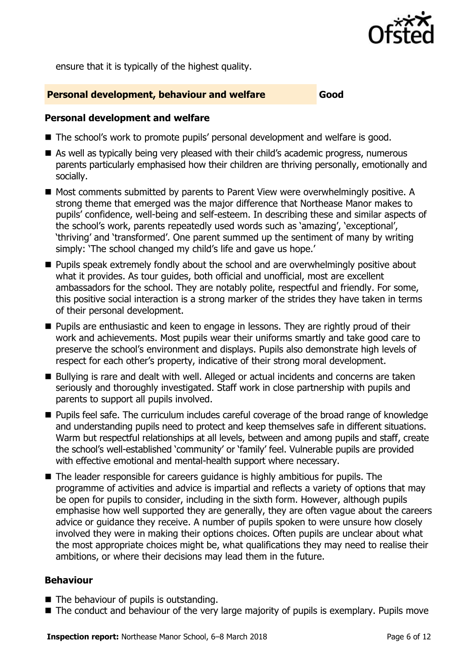

ensure that it is typically of the highest quality.

#### **Personal development, behaviour and welfare Good**

#### **Personal development and welfare**

- The school's work to promote pupils' personal development and welfare is good.
- As well as typically being very pleased with their child's academic progress, numerous parents particularly emphasised how their children are thriving personally, emotionally and socially.
- Most comments submitted by parents to Parent View were overwhelmingly positive. A strong theme that emerged was the major difference that Northease Manor makes to pupils' confidence, well-being and self-esteem. In describing these and similar aspects of the school's work, parents repeatedly used words such as 'amazing', 'exceptional', 'thriving' and 'transformed'. One parent summed up the sentiment of many by writing simply: 'The school changed my child's life and gave us hope.'
- **Pupils speak extremely fondly about the school and are overwhelmingly positive about** what it provides. As tour quides, both official and unofficial, most are excellent ambassadors for the school. They are notably polite, respectful and friendly. For some, this positive social interaction is a strong marker of the strides they have taken in terms of their personal development.
- **Pupils are enthusiastic and keen to engage in lessons. They are rightly proud of their** work and achievements. Most pupils wear their uniforms smartly and take good care to preserve the school's environment and displays. Pupils also demonstrate high levels of respect for each other's property, indicative of their strong moral development.
- Bullying is rare and dealt with well. Alleged or actual incidents and concerns are taken seriously and thoroughly investigated. Staff work in close partnership with pupils and parents to support all pupils involved.
- Pupils feel safe. The curriculum includes careful coverage of the broad range of knowledge and understanding pupils need to protect and keep themselves safe in different situations. Warm but respectful relationships at all levels, between and among pupils and staff, create the school's well-established 'community' or 'family' feel. Vulnerable pupils are provided with effective emotional and mental-health support where necessary.
- The leader responsible for careers guidance is highly ambitious for pupils. The programme of activities and advice is impartial and reflects a variety of options that may be open for pupils to consider, including in the sixth form. However, although pupils emphasise how well supported they are generally, they are often vague about the careers advice or guidance they receive. A number of pupils spoken to were unsure how closely involved they were in making their options choices. Often pupils are unclear about what the most appropriate choices might be, what qualifications they may need to realise their ambitions, or where their decisions may lead them in the future.

#### **Behaviour**

- The behaviour of pupils is outstanding.
- The conduct and behaviour of the very large majority of pupils is exemplary. Pupils move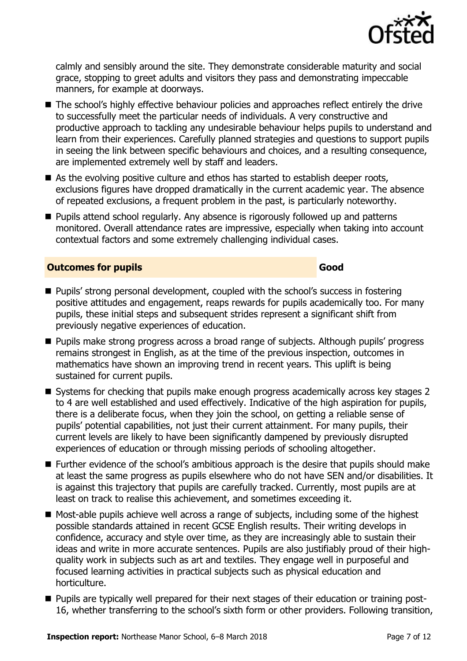

calmly and sensibly around the site. They demonstrate considerable maturity and social grace, stopping to greet adults and visitors they pass and demonstrating impeccable manners, for example at doorways.

- The school's highly effective behaviour policies and approaches reflect entirely the drive to successfully meet the particular needs of individuals. A very constructive and productive approach to tackling any undesirable behaviour helps pupils to understand and learn from their experiences. Carefully planned strategies and questions to support pupils in seeing the link between specific behaviours and choices, and a resulting consequence, are implemented extremely well by staff and leaders.
- $\blacksquare$  As the evolving positive culture and ethos has started to establish deeper roots, exclusions figures have dropped dramatically in the current academic year. The absence of repeated exclusions, a frequent problem in the past, is particularly noteworthy.
- **Pupils attend school regularly. Any absence is rigorously followed up and patterns** monitored. Overall attendance rates are impressive, especially when taking into account contextual factors and some extremely challenging individual cases.

#### **Outcomes for pupils Good**

- Pupils' strong personal development, coupled with the school's success in fostering positive attitudes and engagement, reaps rewards for pupils academically too. For many pupils, these initial steps and subsequent strides represent a significant shift from previously negative experiences of education.
- **Pupils make strong progress across a broad range of subjects. Although pupils' progress** remains strongest in English, as at the time of the previous inspection, outcomes in mathematics have shown an improving trend in recent years. This uplift is being sustained for current pupils.
- Systems for checking that pupils make enough progress academically across key stages 2 to 4 are well established and used effectively. Indicative of the high aspiration for pupils, there is a deliberate focus, when they join the school, on getting a reliable sense of pupils' potential capabilities, not just their current attainment. For many pupils, their current levels are likely to have been significantly dampened by previously disrupted experiences of education or through missing periods of schooling altogether.
- Further evidence of the school's ambitious approach is the desire that pupils should make at least the same progress as pupils elsewhere who do not have SEN and/or disabilities. It is against this trajectory that pupils are carefully tracked. Currently, most pupils are at least on track to realise this achievement, and sometimes exceeding it.
- Most-able pupils achieve well across a range of subjects, including some of the highest possible standards attained in recent GCSE English results. Their writing develops in confidence, accuracy and style over time, as they are increasingly able to sustain their ideas and write in more accurate sentences. Pupils are also justifiably proud of their highquality work in subjects such as art and textiles. They engage well in purposeful and focused learning activities in practical subjects such as physical education and horticulture.
- **Pupils are typically well prepared for their next stages of their education or training post-**16, whether transferring to the school's sixth form or other providers. Following transition,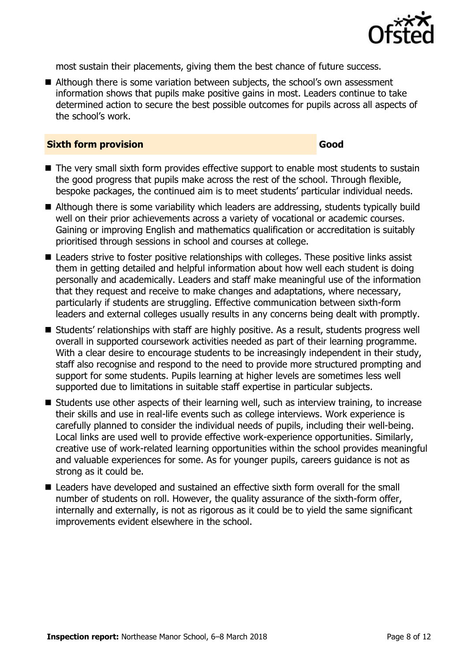

most sustain their placements, giving them the best chance of future success.

■ Although there is some variation between subjects, the school's own assessment information shows that pupils make positive gains in most. Leaders continue to take determined action to secure the best possible outcomes for pupils across all aspects of the school's work.

#### **Sixth form provision Good**

- The very small sixth form provides effective support to enable most students to sustain the good progress that pupils make across the rest of the school. Through flexible, bespoke packages, the continued aim is to meet students' particular individual needs.
- Although there is some variability which leaders are addressing, students typically build well on their prior achievements across a variety of vocational or academic courses. Gaining or improving English and mathematics qualification or accreditation is suitably prioritised through sessions in school and courses at college.
- Leaders strive to foster positive relationships with colleges. These positive links assist them in getting detailed and helpful information about how well each student is doing personally and academically. Leaders and staff make meaningful use of the information that they request and receive to make changes and adaptations, where necessary, particularly if students are struggling. Effective communication between sixth-form leaders and external colleges usually results in any concerns being dealt with promptly.
- Students' relationships with staff are highly positive. As a result, students progress well overall in supported coursework activities needed as part of their learning programme. With a clear desire to encourage students to be increasingly independent in their study, staff also recognise and respond to the need to provide more structured prompting and support for some students. Pupils learning at higher levels are sometimes less well supported due to limitations in suitable staff expertise in particular subjects.
- Students use other aspects of their learning well, such as interview training, to increase their skills and use in real-life events such as college interviews. Work experience is carefully planned to consider the individual needs of pupils, including their well-being. Local links are used well to provide effective work-experience opportunities. Similarly, creative use of work-related learning opportunities within the school provides meaningful and valuable experiences for some. As for younger pupils, careers guidance is not as strong as it could be.
- Leaders have developed and sustained an effective sixth form overall for the small number of students on roll. However, the quality assurance of the sixth-form offer, internally and externally, is not as rigorous as it could be to yield the same significant improvements evident elsewhere in the school.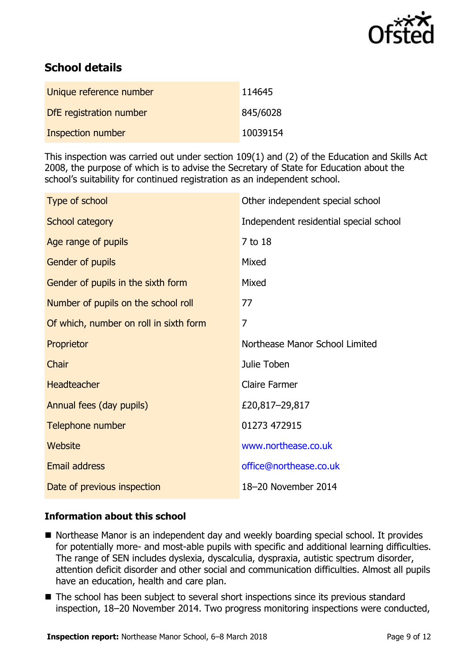

# **School details**

| Unique reference number  | 114645   |
|--------------------------|----------|
| DfE registration number  | 845/6028 |
| <b>Inspection number</b> | 10039154 |

This inspection was carried out under section 109(1) and (2) of the Education and Skills Act 2008, the purpose of which is to advise the Secretary of State for Education about the school's suitability for continued registration as an independent school.

| Type of school                         | Other independent special school       |
|----------------------------------------|----------------------------------------|
| School category                        | Independent residential special school |
| Age range of pupils                    | 7 to 18                                |
| Gender of pupils                       | Mixed                                  |
| Gender of pupils in the sixth form     | Mixed                                  |
| Number of pupils on the school roll    | 77                                     |
| Of which, number on roll in sixth form | 7                                      |
| Proprietor                             | Northease Manor School Limited         |
| Chair                                  | Julie Toben                            |
| <b>Headteacher</b>                     | <b>Claire Farmer</b>                   |
| Annual fees (day pupils)               | £20,817-29,817                         |
| Telephone number                       | 01273 472915                           |
| Website                                | www.northease.co.uk                    |
| <b>Email address</b>                   | office@northease.co.uk                 |
| Date of previous inspection            | 18-20 November 2014                    |
|                                        |                                        |

#### **Information about this school**

- Northease Manor is an independent day and weekly boarding special school. It provides for potentially more- and most-able pupils with specific and additional learning difficulties. The range of SEN includes dyslexia, dyscalculia, dyspraxia, autistic spectrum disorder, attention deficit disorder and other social and communication difficulties. Almost all pupils have an education, health and care plan.
- The school has been subject to several short inspections since its previous standard inspection, 18–20 November 2014. Two progress monitoring inspections were conducted,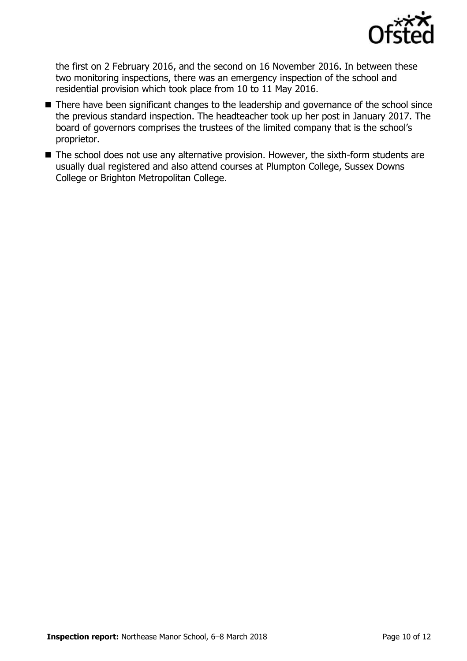

the first on 2 February 2016, and the second on 16 November 2016. In between these two monitoring inspections, there was an emergency inspection of the school and residential provision which took place from 10 to 11 May 2016.

- There have been significant changes to the leadership and governance of the school since the previous standard inspection. The headteacher took up her post in January 2017. The board of governors comprises the trustees of the limited company that is the school's proprietor.
- The school does not use any alternative provision. However, the sixth-form students are usually dual registered and also attend courses at Plumpton College, Sussex Downs College or Brighton Metropolitan College.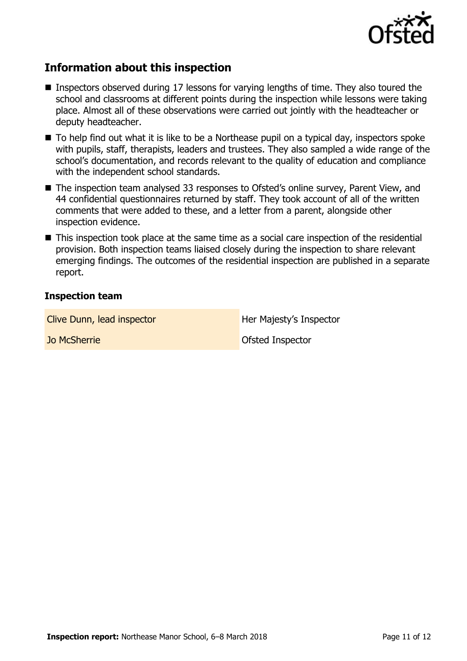

## **Information about this inspection**

- Inspectors observed during 17 lessons for varying lengths of time. They also toured the school and classrooms at different points during the inspection while lessons were taking place. Almost all of these observations were carried out jointly with the headteacher or deputy headteacher.
- To help find out what it is like to be a Northease pupil on a typical day, inspectors spoke with pupils, staff, therapists, leaders and trustees. They also sampled a wide range of the school's documentation, and records relevant to the quality of education and compliance with the independent school standards.
- The inspection team analysed 33 responses to Ofsted's online survey, Parent View, and 44 confidential questionnaires returned by staff. They took account of all of the written comments that were added to these, and a letter from a parent, alongside other inspection evidence.
- This inspection took place at the same time as a social care inspection of the residential provision. Both inspection teams liaised closely during the inspection to share relevant emerging findings. The outcomes of the residential inspection are published in a separate report.

#### **Inspection team**

Clive Dunn, lead inspector **Her Majesty's Inspector** 

**Jo McSherrie Community Community Community Community Constant Community Constant Community Community Community**